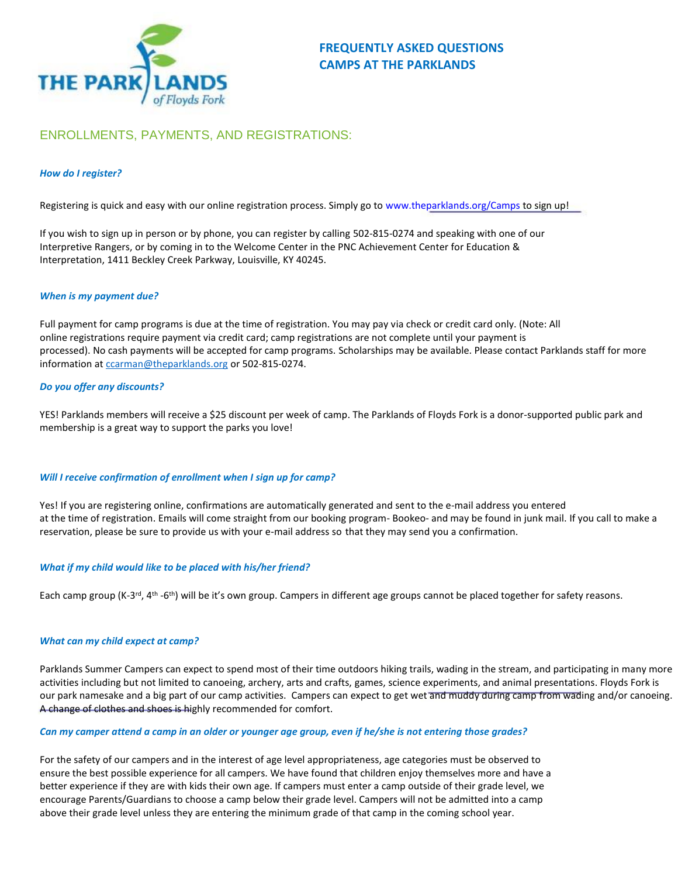

# ENROLLMENTS, PAYMENTS, AND REGISTRATIONS:

## *How do I register?*

Registering is quick and easy with our online registration process. Simply go to www.theparklands.org/Camps to sign up!

If you wish to sign up in person or by phone, you can register by calling 502-815-0274 and speaking with one of our Interpretive Rangers, or by coming in to the Welcome Center in the PNC Achievement Center for Education & Interpretation, 1411 Beckley Creek Parkway, Louisville, KY 40245.

## *When is my payment due?*

Full payment for camp programs is due at the time of registration. You may pay via check or credit card only. (Note: All online registrations require payment via credit card; camp registrations are not complete until your payment is processed). No cash payments will be accepted for camp programs. Scholarships may be available. Please contact Parklands staff for more information at [ccarman@theparklands.org](mailto:ccarman@theparklands.org) or 502-815-0274.

## *Do you offer any discounts?*

YES! Parklands members will receive a \$25 discount per week of camp. The Parklands of Floyds Fork is a donor-supported public park and membership is a great way to support the parks you love!

## *Will I receive confirmation of enrollment when I sign up for camp?*

Yes! If you are registering online, confirmations are automatically generated and sent to the e-mail address you entered at the time of registration. Emails will come straight from our booking program- Bookeo- and may be found in junk mail. If you call to make a reservation, please be sure to provide us with your e-mail address so that they may send you a confirmation.

## *What if my child would like to be placed with his/her friend?*

Each camp group (K-3<sup>rd</sup>, 4<sup>th</sup> -6<sup>th</sup>) will be it's own group. Campers in different age groups cannot be placed together for safety reasons.

## *What can my child expect at camp?*

Parklands Summer Campers can expect to spend most of their time outdoors hiking trails, wading in the stream, and participating in many more activities including but not limited to canoeing, archery, arts and crafts, games, science experiments, and animal presentations. Floyds Fork is our park namesake and a big part of our camp activities. Campers can expect to get wet and muddy during camp from wading and/or canoeing. A change of clothes and shoes is highly recommended for comfort.

## *Can my camper attend a camp in an older or younger age group, even if he/she is not entering those grades?*

For the safety of our campers and in the interest of age level appropriateness, age categories must be observed to ensure the best possible experience for all campers. We have found that children enjoy themselves more and have a better experience if they are with kids their own age. If campers must enter a camp outside of their grade level, we encourage Parents/Guardians to choose a camp below their grade level. Campers will not be admitted into a camp above their grade level unless they are entering the minimum grade of that camp in the coming school year.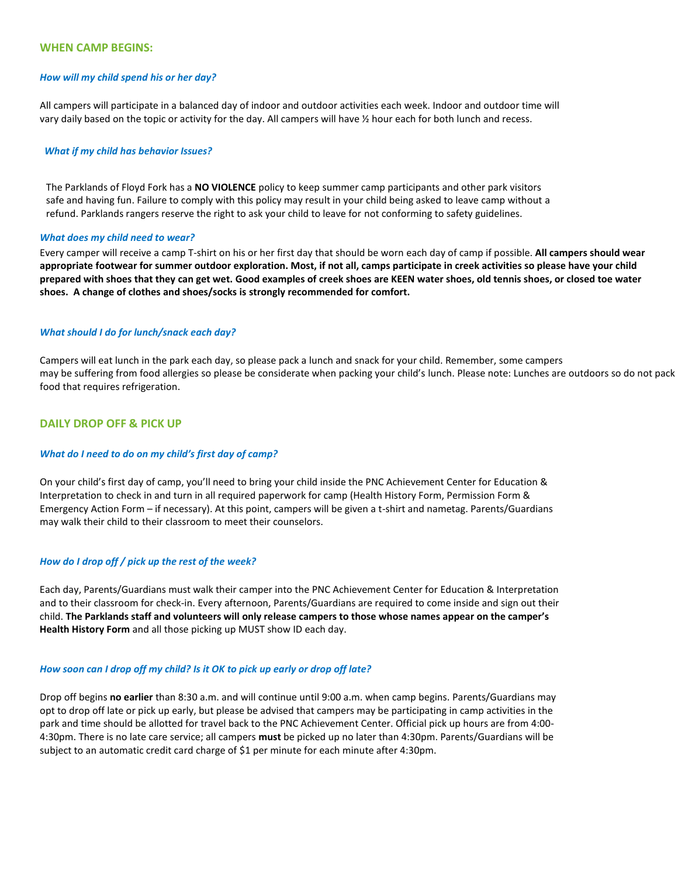## **WHEN CAMP BEGINS:**

### *How will my child spend his or her day?*

All campers will participate in a balanced day of indoor and outdoor activities each week. Indoor and outdoor time will vary daily based on the topic or activity for the day. All campers will have ½ hour each for both lunch and recess.

#### *What if my child has behavior Issues?*

The Parklands of Floyd Fork has a **NO VIOLENCE** policy to keep summer camp participants and other park visitors safe and having fun. Failure to comply with this policy may result in your child being asked to leave camp without a refund. Parklands rangers reserve the right to ask your child to leave for not conforming to safety guidelines.

#### *What does my child need to wear?*

Every camper will receive a camp T-shirt on his or her first day that should be worn each day of camp if possible. **All campers should wear appropriate footwear for summer outdoor exploration. Most, if not all, camps participate in creek activities so please have your child prepared with shoes that they can get wet. Good examples of creek shoes are KEEN water shoes, old tennis shoes, or closed toe water shoes. A change of clothes and shoes/socks is strongly recommended for comfort.**

### *What should I do for lunch/snack each day?*

Campers will eat lunch in the park each day, so please pack a lunch and snack for your child. Remember, some campers may be suffering from food allergies so please be considerate when packing your child's lunch. Please note: Lunches are outdoors so do not pack food that requires refrigeration.

## **DAILY DROP OFF & PICK UP**

#### *What do I need to do on my child's first day of camp?*

On your child's first day of camp, you'll need to bring your child inside the PNC Achievement Center for Education & Interpretation to check in and turn in all required paperwork for camp (Health History Form, Permission Form & Emergency Action Form – if necessary). At this point, campers will be given a t-shirt and nametag. Parents/Guardians may walk their child to their classroom to meet their counselors.

### *How do I drop off / pick up the rest of the week?*

Each day, Parents/Guardians must walk their camper into the PNC Achievement Center for Education & Interpretation and to their classroom for check-in. Every afternoon, Parents/Guardians are required to come inside and sign out their child. **The Parklands staff and volunteers will only release campers to those whose names appear on the camper's Health History Form** and all those picking up MUST show ID each day.

## *How soon can I drop off my child? Is it OK to pick up early or drop off late?*

Drop off begins **no earlier** than 8:30 a.m. and will continue until 9:00 a.m. when camp begins. Parents/Guardians may opt to drop off late or pick up early, but please be advised that campers may be participating in camp activities in the park and time should be allotted for travel back to the PNC Achievement Center. Official pick up hours are from 4:00- 4:30pm. There is no late care service; all campers **must** be picked up no later than 4:30pm. Parents/Guardians will be subject to an automatic credit card charge of \$1 per minute for each minute after 4:30pm.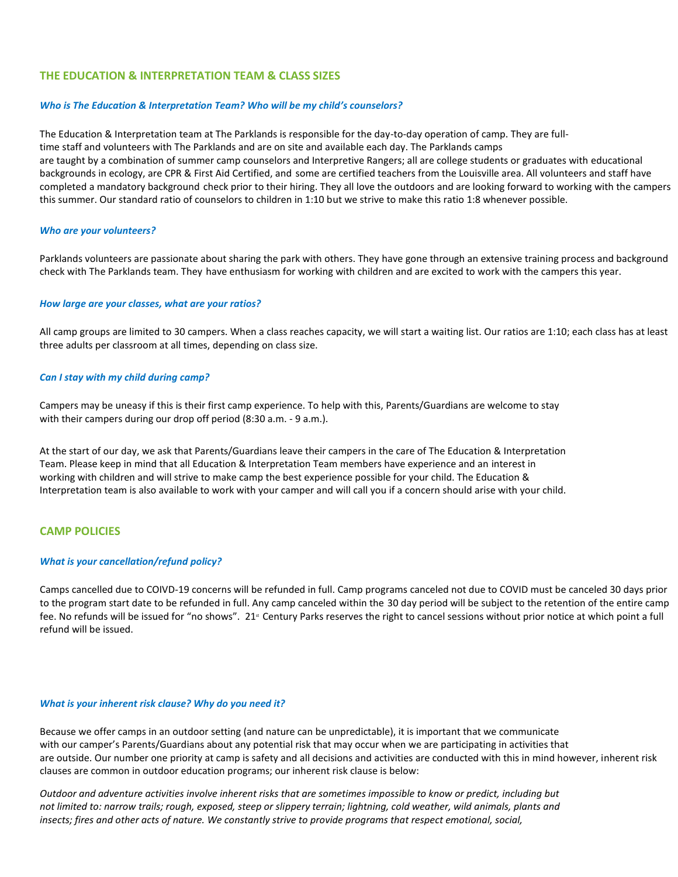## **THE EDUCATION & INTERPRETATION TEAM & CLASS SIZES**

### *Who is The Education & Interpretation Team? Who will be my child's counselors?*

The Education & Interpretation team at The Parklands is responsible for the day-to-day operation of camp. They are fulltime staff and volunteers with The Parklands and are on site and available each day. The Parklands camps are taught by a combination of summer camp counselors and Interpretive Rangers; all are college students or graduates with educational backgrounds in ecology, are CPR & First Aid Certified, and some are certified teachers from the Louisville area. All volunteers and staff have completed a mandatory background check prior to their hiring. They all love the outdoors and are looking forward to working with the campers this summer. Our standard ratio of counselors to children in 1:10 but we strive to make this ratio 1:8 whenever possible.

#### *Who are your volunteers?*

Parklands volunteers are passionate about sharing the park with others. They have gone through an extensive training process and background check with The Parklands team. They have enthusiasm for working with children and are excited to work with the campers this year.

#### *How large are your classes, what are your ratios?*

All camp groups are limited to 30 campers. When a class reaches capacity, we will start a waiting list. Our ratios are 1:10; each class has at least three adults per classroom at all times, depending on class size.

### *Can I stay with my child during camp?*

Campers may be uneasy if this is their first camp experience. To help with this, Parents/Guardians are welcome to stay with their campers during our drop off period (8:30 a.m. - 9 a.m.).

At the start of our day, we ask that Parents/Guardians leave their campers in the care of The Education & Interpretation Team. Please keep in mind that all Education & Interpretation Team members have experience and an interest in working with children and will strive to make camp the best experience possible for your child. The Education & Interpretation team is also available to work with your camper and will call you if a concern should arise with your child.

#### **CAMP POLICIES**

#### *What is your cancellation/refund policy?*

Camps cancelled due to COIVD-19 concerns will be refunded in full. Camp programs canceled not due to COVID must be canceled 30 days prior to the program start date to be refunded in full. Any camp canceled within the 30 day period will be subject to the retention of the entire camp fee. No refunds will be issued for "no shows". 21<sup>x</sup> Century Parks reserves the right to cancel sessions without prior notice at which point a full refund will be issued.

#### *What is your inherent risk clause? Why do you need it?*

Because we offer camps in an outdoor setting (and nature can be unpredictable), it is important that we communicate with our camper's Parents/Guardians about any potential risk that may occur when we are participating in activities that are outside. Our number one priority at camp is safety and all decisions and activities are conducted with this in mind however, inherent risk clauses are common in outdoor education programs; our inherent risk clause is below:

*Outdoor and adventure activities involve inherent risks that are sometimes impossible to know or predict, including but not limited to: narrow trails; rough, exposed, steep or slippery terrain; lightning, cold weather, wild animals, plants and insects; fires and other acts of nature. We constantly strive to provide programs that respect emotional, social,*